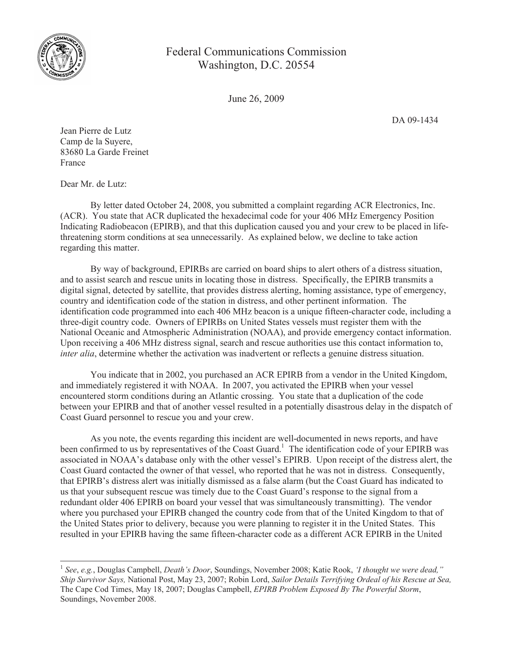

Federal Communications Commission Washington, D.C. 20554

June 26, 2009

DA 09-1434

Jean Pierre de Lutz Camp de la Suyere, 83680 La Garde Freinet France

Dear Mr. de Lutz:

By letter dated October 24, 2008, you submitted a complaint regarding ACR Electronics, Inc. (ACR). You state that ACR duplicated the hexadecimal code for your 406 MHz Emergency Position Indicating Radiobeacon (EPIRB), and that this duplication caused you and your crew to be placed in lifethreatening storm conditions at sea unnecessarily. As explained below, we decline to take action regarding this matter.

By way of background, EPIRBs are carried on board ships to alert others of a distress situation, and to assist search and rescue units in locating those in distress. Specifically, the EPIRB transmits a digital signal, detected by satellite, that provides distress alerting, homing assistance, type of emergency, country and identification code of the station in distress, and other pertinent information. The identification code programmed into each 406 MHz beacon is a unique fifteen-character code, including a three-digit country code. Owners of EPIRBs on United States vessels must register them with the National Oceanic and Atmospheric Administration (NOAA), and provide emergency contact information. Upon receiving a 406 MHz distress signal, search and rescue authorities use this contact information to, *inter alia*, determine whether the activation was inadvertent or reflects a genuine distress situation.

You indicate that in 2002, you purchased an ACR EPIRB from a vendor in the United Kingdom, and immediately registered it with NOAA. In 2007, you activated the EPIRB when your vessel encountered storm conditions during an Atlantic crossing. You state that a duplication of the code between your EPIRB and that of another vessel resulted in a potentially disastrous delay in the dispatch of Coast Guard personnel to rescue you and your crew.

As you note, the events regarding this incident are well-documented in news reports, and have been confirmed to us by representatives of the Coast Guard.<sup>1</sup> The identification code of your EPIRB was associated in NOAA's database only with the other vessel's EPIRB. Upon receipt of the distress alert, the Coast Guard contacted the owner of that vessel, who reported that he was not in distress. Consequently, that EPIRB's distress alert was initially dismissed as a false alarm (but the Coast Guard has indicated to us that your subsequent rescue was timely due to the Coast Guard's response to the signal from a redundant older 406 EPIRB on board your vessel that was simultaneously transmitting). The vendor where you purchased your EPIRB changed the country code from that of the United Kingdom to that of the United States prior to delivery, because you were planning to register it in the United States. This resulted in your EPIRB having the same fifteen-character code as a different ACR EPIRB in the United

<sup>1</sup> *See*, *e.g.*, Douglas Campbell, *Death's Door*, Soundings, November 2008; Katie Rook, *'I thought we were dead," Ship Survivor Says,* National Post, May 23, 2007; Robin Lord, *Sailor Details Terrifying Ordeal of his Rescue at Sea,*  The Cape Cod Times, May 18, 2007; Douglas Campbell, *EPIRB Problem Exposed By The Powerful Storm*, Soundings, November 2008.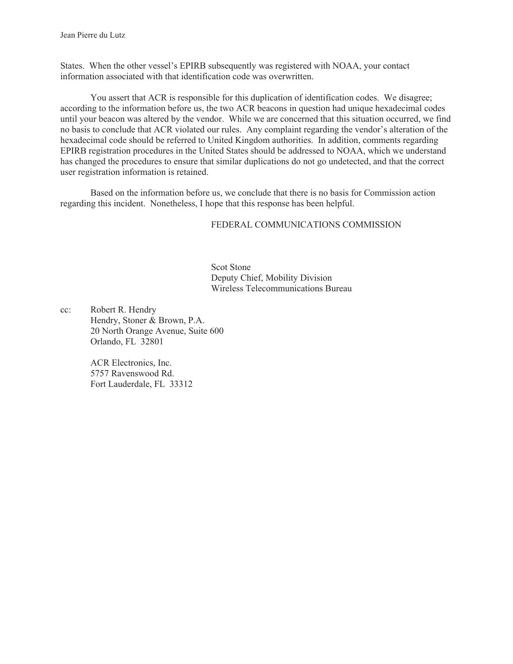States. When the other vessel's EPIRB subsequently was registered with NOAA, your contact information associated with that identification code was overwritten.

You assert that ACR is responsible for this duplication of identification codes. We disagree; according to the information before us, the two ACR beacons in question had unique hexadecimal codes until your beacon was altered by the vendor. While we are concerned that this situation occurred, we find no basis to conclude that ACR violated our rules. Any complaint regarding the vendor's alteration of the hexadecimal code should be referred to United Kingdom authorities. In addition, comments regarding EPIRB registration procedures in the United States should be addressed to NOAA, which we understand has changed the procedures to ensure that similar duplications do not go undetected, and that the correct user registration information is retained.

Based on the information before us, we conclude that there is no basis for Commission action regarding this incident. Nonetheless, I hope that this response has been helpful.

## FEDERAL COMMUNICATIONS COMMISSION

Scot Stone Deputy Chief, Mobility Division Wireless Telecommunications Bureau

cc: Robert R. Hendry Hendry, Stoner & Brown, P.A. 20 North Orange Avenue, Suite 600 Orlando, FL 32801

> ACR Electronics, Inc. 5757 Ravenswood Rd. Fort Lauderdale, FL 33312